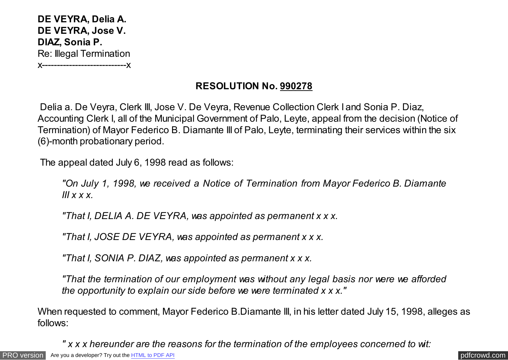**DE VEYRA, Delia A. DE VEYRA, Jose V. DIAZ, Sonia P.** Re: Illegal Termination x----------------------------x

## **RESOLUTION No. 990278**

Delia a. De Veyra, Clerk III, Jose V. De Veyra, Revenue Collection Clerk I and Sonia P. Diaz, Accounting Clerk I, all of the Municipal Government of Palo, Leyte, appeal from the decision (Notice of Termination) of Mayor Federico B. Diamante III of Palo, Leyte, terminating their services within the six (6)-month probationary period.

The appeal dated July 6, 1998 read as follows:

*"On July 1, 1998, we received a Notice of Termination from Mayor Federico B. Diamante III x x x.*

*"That I, DELIA A. DE VEYRA, was appointed as permanent x x x.*

*"That I, JOSE DE VEYRA, was appointed as permanent x x x.*

*"That I, SONIA P. DIAZ, was appointed as permanent x x x.*

*"That the termination of our employment was without any legal basis nor were we afforded the opportunity to explain our side before we were terminated x x x."*

When requested to comment, Mayor Federico B.Diamante III, in his letter dated July 15, 1998, alleges as follows:

*" x x x hereunder are the reasons for the termination of the employees concerned to wit:*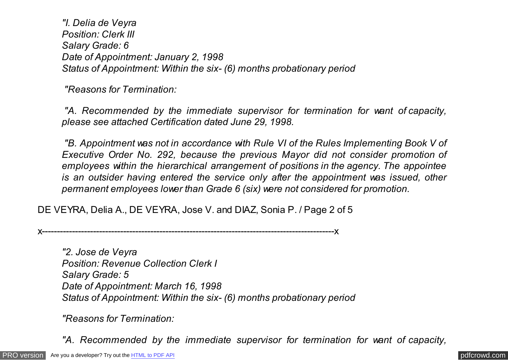*"I. Delia de Veyra Position: Clerk III Salary Grade: 6 Date of Appointment: January 2, 1998 Status of Appointment: Within the six- (6) months probationary period*

*"Reasons for Termination:*

*"A. Recommended by the immediate supervisor for termination for want of capacity, please see attached Certification dated June 29, 1998.*

*"B. Appointment was not in accordance with Rule VI of the Rules Implementing Book V of Executive Order No. 292, because the previous Mayor did not consider promotion of employees within the hierarchical arrangement of positions in the agency. The appointee is an outsider having entered the service only after the appointment was issued, other permanent employees lower than Grade 6 (six) were not considered for promotion.*

DE VEYRA, Delia A., DE VEYRA, Jose V. and DIAZ, Sonia P. / Page 2 of 5

x-------------------------------------------------------------------------------------------------x

*"2. Jose de Veyra Position: Revenue Collection Clerk I Salary Grade: 5 Date of Appointment: March 16, 1998 Status of Appointment: Within the six- (6) months probationary period*

*"Reasons for Termination:*

*"A. Recommended by the immediate supervisor for termination for want of capacity,*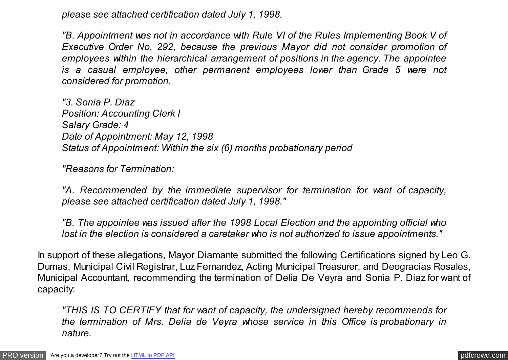*please see attached certification dated July 1, 1998.*

*"B. Appointment was not in accordance with Rule VI of the Rules Implementing Book V of Executive Order No. 292, because the previous Mayor did not consider promotion of employees within the hierarchical arrangement of positions in the agency. The appointee is a casual employee, other permanent employees lower than Grade 5 were not considered for promotion.*

*"3. Sonia P. Diaz Position: Accounting Clerk I Salary Grade: 4 Date of Appointment: May 12, 1998 Status of Appointment: Within the six (6) months probationary period*

*"Reasons for Termination:*

*"A. Recommended by the immediate supervisor for termination for want of capacity, please see attached certification dated July 1, 1998."*

*"B. The appointee was issued after the 1998 Local Election and the appointing official who lost in the election is considered a caretaker who is not authorized to issue appointments."*

In support of these allegations, Mayor Diamante submitted the following Certifications signed by Leo G. Dumas, Municipal Civil Registrar, Luz Fernandez, Acting Municipal Treasurer, and Deogracias Rosales, Municipal Accountant, recommending the termination of Delia De Veyra and Sonia P. Diaz for want of capacity:

*"THIS IS TO CERTIFY that for want of capacity, the undersigned hereby recommends for the termination of Mrs. Delia de Veyra whose service in this Office is probationary in nature.*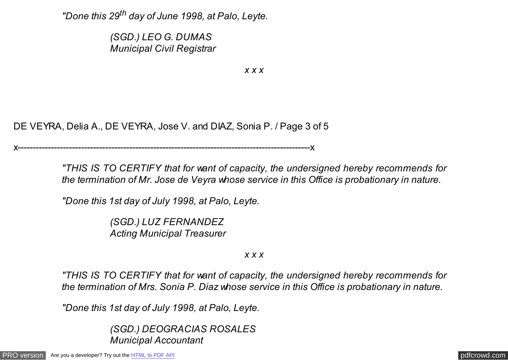*"Done this 29th day of June 1998, at Palo, Leyte.*

*(SGD.) LEO G. DUMAS Municipal Civil Registrar*

*x x x*

DE VEYRA, Delia A., DE VEYRA, Jose V. and DIAZ, Sonia P. / Page 3 of 5

x-------------------------------------------------------------------------------------------------x

*"THIS IS TO CERTIFY that for want of capacity, the undersigned hereby recommends for the termination of Mr. Jose de Veyra whose service in this Office is probationary in nature.*

*"Done this 1st day of July 1998, at Palo, Leyte.*

*(SGD.) LUZ FERNANDEZ Acting Municipal Treasurer*

*x x x*

*"THIS IS TO CERTIFY that for want of capacity, the undersigned hereby recommends for the termination of Mrs. Sonia P. Diaz whose service in this Office is probationary in nature.*

*"Done this 1st day of July 1998, at Palo, Leyte.*

*(SGD.) DEOGRACIAS ROSALES Municipal Accountant*

[PRO version](http://pdfcrowd.com/customize/) Are you a developer? Try out th[e HTML to PDF API](http://pdfcrowd.com/html-to-pdf-api/?ref=pdf) contract the CHTML of PDF API [pdfcrowd.com](http://pdfcrowd.com)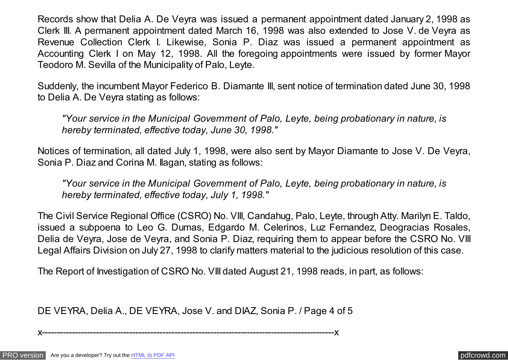Records show that Delia A. De Veyra was issued a permanent appointment dated January 2, 1998 as Clerk III. A permanent appointment dated March 16, 1998 was also extended to Jose V. de Veyra as Revenue Collection Clerk I. Likewise, Sonia P. Diaz was issued a permanent appointment as Accounting Clerk I on May 12, 1998. All the foregoing appointments were issued by former Mayor Teodoro M. Sevilla of the Municipality of Palo, Leyte.

Suddenly, the incumbent Mayor Federico B. Diamante III, sent notice of termination dated June 30, 1998 to Delia A. De Veyra stating as follows:

*"Your service in the Municipal Government of Palo, Leyte, being probationary in nature, is hereby terminated, effective today, June 30, 1998."*

Notices of termination, all dated July 1, 1998, were also sent by Mayor Diamante to Jose V. De Veyra, Sonia P. Diaz and Corina M. Ilagan, stating as follows:

*"Your service in the Municipal Government of Palo, Leyte, being probationary in nature, is hereby terminated, effective today, July 1, 1998."*

The Civil Service Regional Office (CSRO) No. VIII, Candahug, Palo, Leyte, through Atty. Marilyn E. Taldo, issued a subpoena to Leo G. Dumas, Edgardo M. Celerinos, Luz Fernandez, Deogracias Rosales, Delia de Veyra, Jose de Veyra, and Sonia P. Diaz, requiring them to appear before the CSRO No. VIII Legal Affairs Division on July 27, 1998 to clarify matters material to the judicious resolution of this case.

The Report of Investigation of CSRO No. VIII dated August 21, 1998 reads, in part, as follows:

DE VEYRA, Delia A., DE VEYRA, Jose V. and DIAZ, Sonia P. / Page 4 of 5

x-------------------------------------------------------------------------------------------------x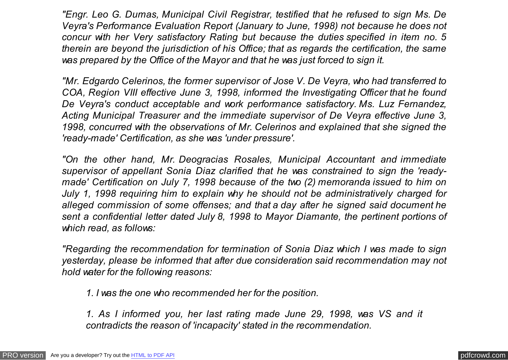*"Engr. Leo G. Dumas, Municipal Civil Registrar, testified that he refused to sign Ms. De Veyra's Performance Evaluation Report (January to June, 1998) not because he does not concur with her Very satisfactory Rating but because the duties specified in item no. 5 therein are beyond the jurisdiction of his Office; that as regards the certification, the same was prepared by the Office of the Mayor and that he was just forced to sign it.*

*"Mr. Edgardo Celerinos, the former supervisor of Jose V. De Veyra, who had transferred to COA, Region VIII effective June 3, 1998, informed the Investigating Officer that he found De Veyra's conduct acceptable and work performance satisfactory. Ms. Luz Fernandez, Acting Municipal Treasurer and the immediate supervisor of De Veyra effective June 3, 1998, concurred with the observations of Mr. Celerinos and explained that she signed the 'ready-made' Certification, as she was 'under pressure'.*

*"On the other hand, Mr. Deogracias Rosales, Municipal Accountant and immediate supervisor of appellant Sonia Diaz clarified that he was constrained to sign the 'readymade' Certification on July 7, 1998 because of the two (2) memoranda issued to him on July 1, 1998 requiring him to explain why he should not be administratively charged for alleged commission of some offenses; and that a day after he signed said document he sent a confidential letter dated July 8, 1998 to Mayor Diamante, the pertinent portions of which read, as follows:*

*"Regarding the recommendation for termination of Sonia Diaz which I was made to sign yesterday, please be informed that after due consideration said recommendation may not hold water for the following reasons:*

*1. I was the one who recommended her for the position.*

*1. As I informed you, her last rating made June 29, 1998, was VS and it contradicts the reason of 'incapacity' stated in the recommendation.*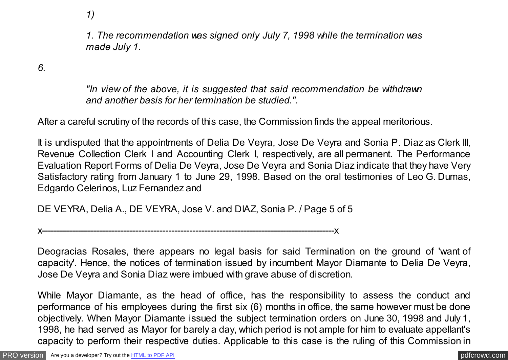*1)*

*1. The recommendation was signed only July 7, 1998 while the termination was made July 1.*

*6.*

*"In view of the above, it is suggested that said recommendation be withdrawn and another basis for her termination be studied.".*

After a careful scrutiny of the records of this case, the Commission finds the appeal meritorious.

It is undisputed that the appointments of Delia De Veyra, Jose De Veyra and Sonia P. Diaz as Clerk III, Revenue Collection Clerk I and Accounting Clerk I, respectively, are all permanent. The Performance Evaluation Report Forms of Delia De Veyra, Jose De Veyra and Sonia Diaz indicate that they have Very Satisfactory rating from January 1 to June 29, 1998. Based on the oral testimonies of Leo G. Dumas, Edgardo Celerinos, Luz Fernandez and

DE VEYRA, Delia A., DE VEYRA, Jose V. and DIAZ, Sonia P. / Page 5 of 5

x-------------------------------------------------------------------------------------------------x

Deogracias Rosales, there appears no legal basis for said Termination on the ground of 'want of capacity'*.* Hence, the notices of termination issued by incumbent Mayor Diamante to Delia De Veyra, Jose De Veyra and Sonia Diaz were imbued with grave abuse of discretion.

While Mayor Diamante, as the head of office, has the responsibility to assess the conduct and performance of his employees during the first six (6) months in office, the same however must be done objectively. When Mayor Diamante issued the subject termination orders on June 30, 1998 and July 1, 1998, he had served as Mayor for barely a day, which period is not ample for him to evaluate appellant's capacity to perform their respective duties. Applicable to this case is the ruling of this Commission in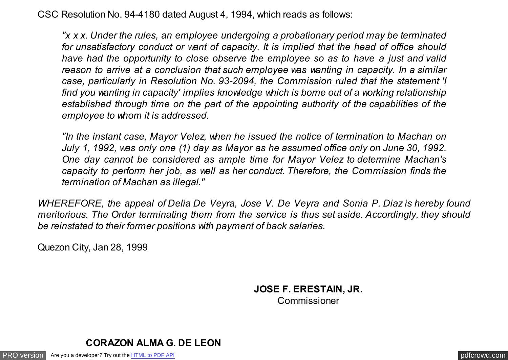CSC Resolution No. 94-4180 dated August 4, 1994, which reads as follows:

*"x x x. Under the rules, an employee undergoing a probationary period may be terminated for unsatisfactory conduct or want of capacity. It is implied that the head of office should have had the opportunity to close observe the employee so as to have a just and valid reason to arrive at a conclusion that such employee was wanting in capacity. In a similar case, particularly in Resolution No. 93-2094, the Commission ruled that the statement 'I find you wanting in capacity' implies knowledge which is borne out of a working relationship established through time on the part of the appointing authority of the capabilities of the employee to whom it is addressed.*

*"In the instant case, Mayor Velez, when he issued the notice of termination to Machan on July 1, 1992, was only one (1) day as Mayor as he assumed office only on June 30, 1992. One day cannot be considered as ample time for Mayor Velez to determine Machan's capacity to perform her job, as well as her conduct. Therefore, the Commission finds the termination of Machan as illegal."*

*WHEREFORE, the appeal of Delia De Veyra, Jose V. De Veyra and Sonia P. Diaz is hereby found meritorious. The Order terminating them from the service is thus set aside. Accordingly, they should be reinstated to their former positions with payment of back salaries.*

Quezon City, Jan 28, 1999

 **JOSE F. ERESTAIN, JR. Commissioner** 



[PRO version](http://pdfcrowd.com/customize/) Are you a developer? Try out th[e HTML to PDF API](http://pdfcrowd.com/html-to-pdf-api/?ref=pdf) contract the CHTML of PDF API [pdfcrowd.com](http://pdfcrowd.com)